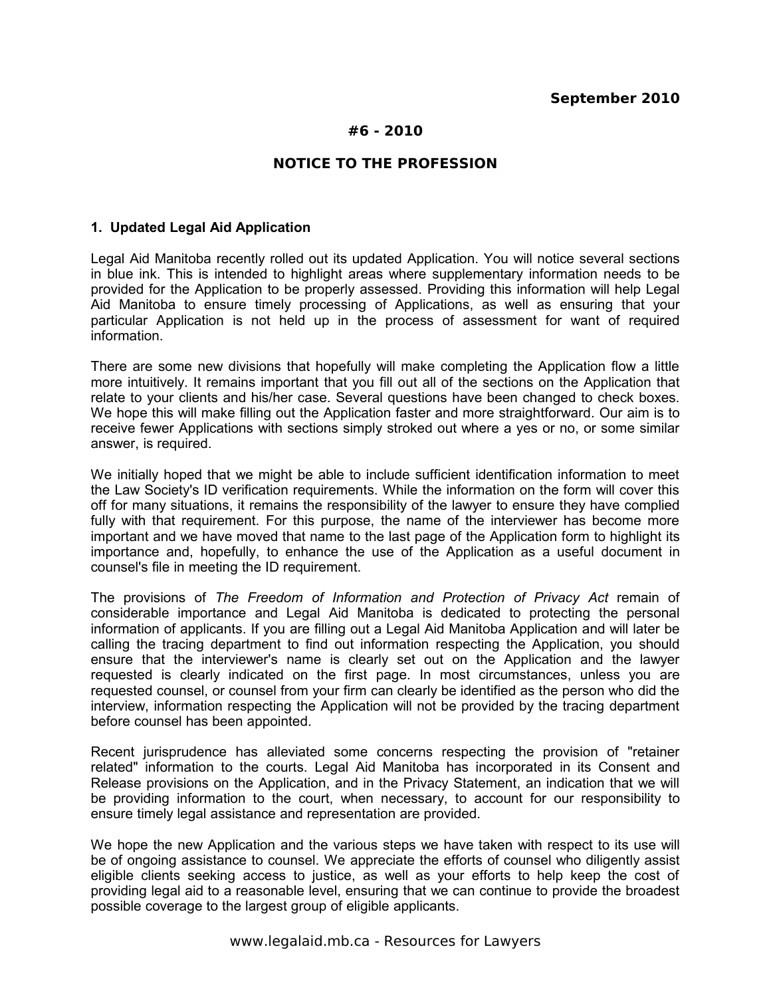# **#6 - 2010**

# **NOTICE TO THE PROFESSION**

#### **1. Updated Legal Aid Application**

Legal Aid Manitoba recently rolled out its updated Application. You will notice several sections in blue ink. This is intended to highlight areas where supplementary information needs to be provided for the Application to be properly assessed. Providing this information will help Legal Aid Manitoba to ensure timely processing of Applications, as well as ensuring that your particular Application is not held up in the process of assessment for want of required information.

There are some new divisions that hopefully will make completing the Application flow a little more intuitively. It remains important that you fill out all of the sections on the Application that relate to your clients and his/her case. Several questions have been changed to check boxes. We hope this will make filling out the Application faster and more straightforward. Our aim is to receive fewer Applications with sections simply stroked out where a yes or no, or some similar answer, is required.

We initially hoped that we might be able to include sufficient identification information to meet the Law Society's ID verification requirements. While the information on the form will cover this off for many situations, it remains the responsibility of the lawyer to ensure they have complied fully with that requirement. For this purpose, the name of the interviewer has become more important and we have moved that name to the last page of the Application form to highlight its importance and, hopefully, to enhance the use of the Application as a useful document in counsel's file in meeting the ID requirement.

The provisions of *The Freedom of Information and Protection of Privacy Act* remain of considerable importance and Legal Aid Manitoba is dedicated to protecting the personal information of applicants. If you are filling out a Legal Aid Manitoba Application and will later be calling the tracing department to find out information respecting the Application, you should ensure that the interviewer's name is clearly set out on the Application and the lawyer requested is clearly indicated on the first page. In most circumstances, unless you are requested counsel, or counsel from your firm can clearly be identified as the person who did the interview, information respecting the Application will not be provided by the tracing department before counsel has been appointed.

Recent jurisprudence has alleviated some concerns respecting the provision of "retainer related" information to the courts. Legal Aid Manitoba has incorporated in its Consent and Release provisions on the Application, and in the Privacy Statement, an indication that we will be providing information to the court, when necessary, to account for our responsibility to ensure timely legal assistance and representation are provided.

We hope the new Application and the various steps we have taken with respect to its use will be of ongoing assistance to counsel. We appreciate the efforts of counsel who diligently assist eligible clients seeking access to justice, as well as your efforts to help keep the cost of providing legal aid to a reasonable level, ensuring that we can continue to provide the broadest possible coverage to the largest group of eligible applicants.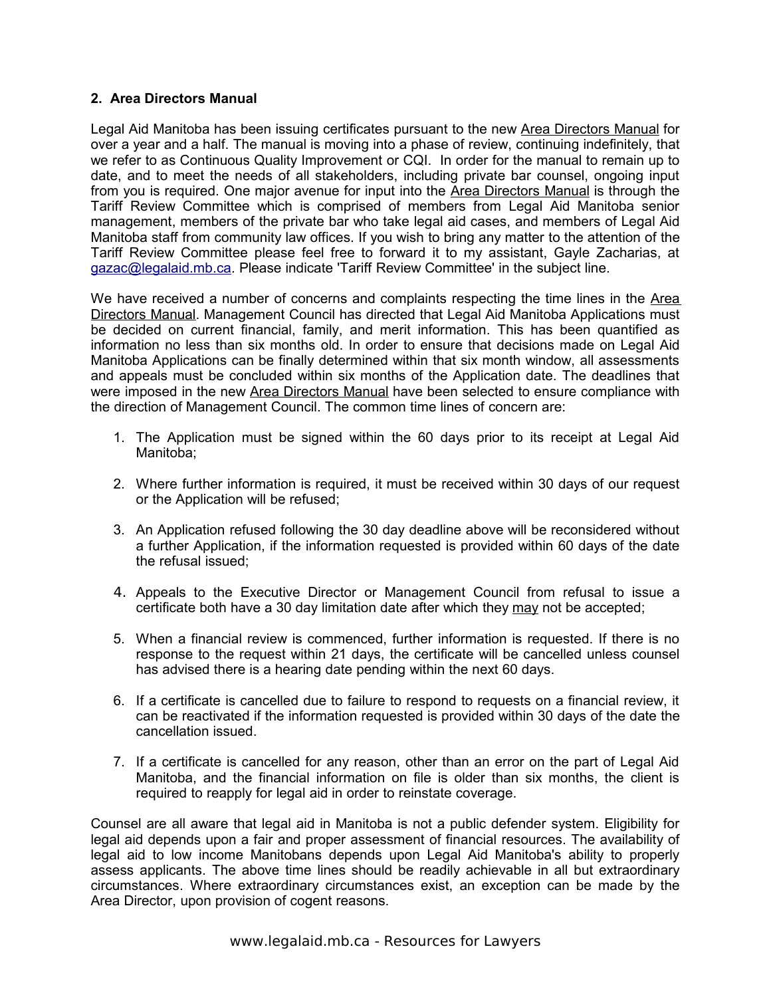### **2. Area Directors Manual**

Legal Aid Manitoba has been issuing certificates pursuant to the new Area Directors Manual for over a year and a half. The manual is moving into a phase of review, continuing indefinitely, that we refer to as Continuous Quality Improvement or CQI. In order for the manual to remain up to date, and to meet the needs of all stakeholders, including private bar counsel, ongoing input from you is required. One major avenue for input into the Area Directors Manual is through the Tariff Review Committee which is comprised of members from Legal Aid Manitoba senior management, members of the private bar who take legal aid cases, and members of Legal Aid Manitoba staff from community law offices. If you wish to bring any matter to the attention of the Tariff Review Committee please feel free to forward it to my assistant, Gayle Zacharias, at [gazac@legalaid.mb.ca.](mailto:gazac@legalaid.mb.ca) Please indicate 'Tariff Review Committee' in the subject line.

We have received a number of concerns and complaints respecting the time lines in the Area Directors Manual. Management Council has directed that Legal Aid Manitoba Applications must be decided on current financial, family, and merit information. This has been quantified as information no less than six months old. In order to ensure that decisions made on Legal Aid Manitoba Applications can be finally determined within that six month window, all assessments and appeals must be concluded within six months of the Application date. The deadlines that were imposed in the new Area Directors Manual have been selected to ensure compliance with the direction of Management Council. The common time lines of concern are:

- 1. The Application must be signed within the 60 days prior to its receipt at Legal Aid Manitoba;
- 2. Where further information is required, it must be received within 30 days of our request or the Application will be refused;
- 3. An Application refused following the 30 day deadline above will be reconsidered without a further Application, if the information requested is provided within 60 days of the date the refusal issued;
- 4. Appeals to the Executive Director or Management Council from refusal to issue a certificate both have a 30 day limitation date after which they may not be accepted;
- 5. When a financial review is commenced, further information is requested. If there is no response to the request within 21 days, the certificate will be cancelled unless counsel has advised there is a hearing date pending within the next 60 days.
- 6. If a certificate is cancelled due to failure to respond to requests on a financial review, it can be reactivated if the information requested is provided within 30 days of the date the cancellation issued.
- 7. If a certificate is cancelled for any reason, other than an error on the part of Legal Aid Manitoba, and the financial information on file is older than six months, the client is required to reapply for legal aid in order to reinstate coverage.

Counsel are all aware that legal aid in Manitoba is not a public defender system. Eligibility for legal aid depends upon a fair and proper assessment of financial resources. The availability of legal aid to low income Manitobans depends upon Legal Aid Manitoba's ability to properly assess applicants. The above time lines should be readily achievable in all but extraordinary circumstances. Where extraordinary circumstances exist, an exception can be made by the Area Director, upon provision of cogent reasons.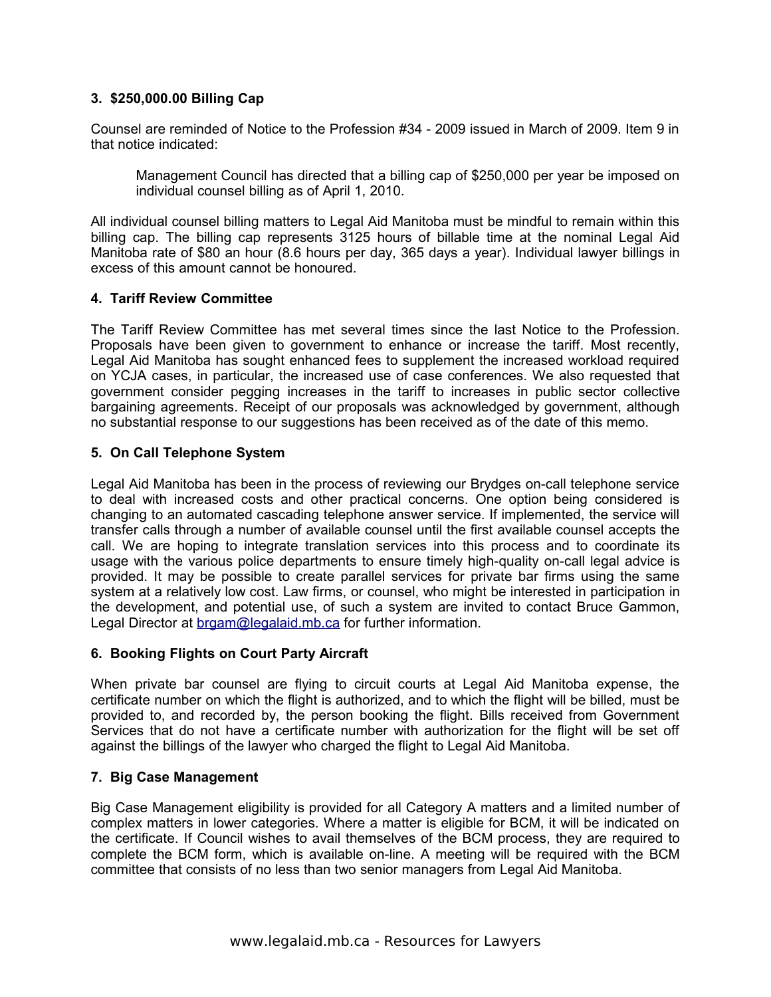# **3. \$250,000.00 Billing Cap**

Counsel are reminded of Notice to the Profession #34 - 2009 issued in March of 2009. Item 9 in that notice indicated:

Management Council has directed that a billing cap of \$250,000 per year be imposed on individual counsel billing as of April 1, 2010.

All individual counsel billing matters to Legal Aid Manitoba must be mindful to remain within this billing cap. The billing cap represents 3125 hours of billable time at the nominal Legal Aid Manitoba rate of \$80 an hour (8.6 hours per day, 365 days a year). Individual lawyer billings in excess of this amount cannot be honoured.

### **4. Tariff Review Committee**

The Tariff Review Committee has met several times since the last Notice to the Profession. Proposals have been given to government to enhance or increase the tariff. Most recently, Legal Aid Manitoba has sought enhanced fees to supplement the increased workload required on YCJA cases, in particular, the increased use of case conferences. We also requested that government consider pegging increases in the tariff to increases in public sector collective bargaining agreements. Receipt of our proposals was acknowledged by government, although no substantial response to our suggestions has been received as of the date of this memo.

### **5. On Call Telephone System**

Legal Aid Manitoba has been in the process of reviewing our Brydges on-call telephone service to deal with increased costs and other practical concerns. One option being considered is changing to an automated cascading telephone answer service. If implemented, the service will transfer calls through a number of available counsel until the first available counsel accepts the call. We are hoping to integrate translation services into this process and to coordinate its usage with the various police departments to ensure timely high-quality on-call legal advice is provided. It may be possible to create parallel services for private bar firms using the same system at a relatively low cost. Law firms, or counsel, who might be interested in participation in the development, and potential use, of such a system are invited to contact Bruce Gammon, Legal Director at [brgam@legalaid.mb.ca](mailto:brgam@legalaid.mb.ca) for further information.

#### **6. Booking Flights on Court Party Aircraft**

When private bar counsel are flying to circuit courts at Legal Aid Manitoba expense, the certificate number on which the flight is authorized, and to which the flight will be billed, must be provided to, and recorded by, the person booking the flight. Bills received from Government Services that do not have a certificate number with authorization for the flight will be set off against the billings of the lawyer who charged the flight to Legal Aid Manitoba.

#### **7. Big Case Management**

Big Case Management eligibility is provided for all Category A matters and a limited number of complex matters in lower categories. Where a matter is eligible for BCM, it will be indicated on the certificate. If Council wishes to avail themselves of the BCM process, they are required to complete the BCM form, which is available on-line. A meeting will be required with the BCM committee that consists of no less than two senior managers from Legal Aid Manitoba.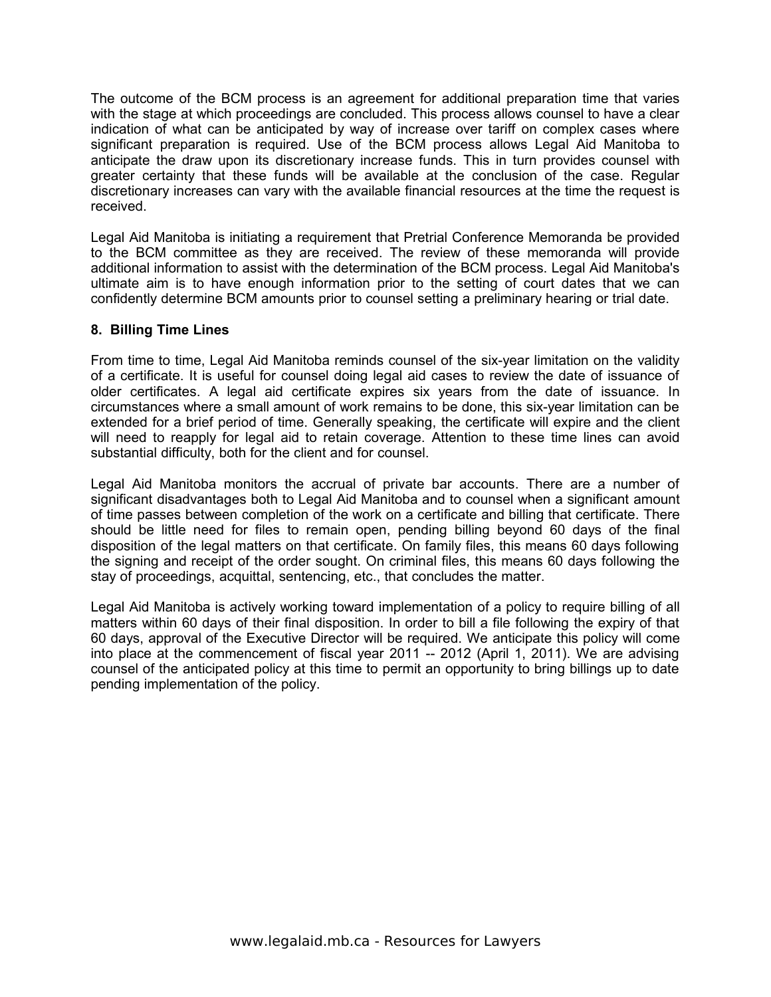The outcome of the BCM process is an agreement for additional preparation time that varies with the stage at which proceedings are concluded. This process allows counsel to have a clear indication of what can be anticipated by way of increase over tariff on complex cases where significant preparation is required. Use of the BCM process allows Legal Aid Manitoba to anticipate the draw upon its discretionary increase funds. This in turn provides counsel with greater certainty that these funds will be available at the conclusion of the case. Regular discretionary increases can vary with the available financial resources at the time the request is received.

Legal Aid Manitoba is initiating a requirement that Pretrial Conference Memoranda be provided to the BCM committee as they are received. The review of these memoranda will provide additional information to assist with the determination of the BCM process. Legal Aid Manitoba's ultimate aim is to have enough information prior to the setting of court dates that we can confidently determine BCM amounts prior to counsel setting a preliminary hearing or trial date.

## **8. Billing Time Lines**

From time to time, Legal Aid Manitoba reminds counsel of the six-year limitation on the validity of a certificate. It is useful for counsel doing legal aid cases to review the date of issuance of older certificates. A legal aid certificate expires six years from the date of issuance. In circumstances where a small amount of work remains to be done, this six-year limitation can be extended for a brief period of time. Generally speaking, the certificate will expire and the client will need to reapply for legal aid to retain coverage. Attention to these time lines can avoid substantial difficulty, both for the client and for counsel.

Legal Aid Manitoba monitors the accrual of private bar accounts. There are a number of significant disadvantages both to Legal Aid Manitoba and to counsel when a significant amount of time passes between completion of the work on a certificate and billing that certificate. There should be little need for files to remain open, pending billing beyond 60 days of the final disposition of the legal matters on that certificate. On family files, this means 60 days following the signing and receipt of the order sought. On criminal files, this means 60 days following the stay of proceedings, acquittal, sentencing, etc., that concludes the matter.

Legal Aid Manitoba is actively working toward implementation of a policy to require billing of all matters within 60 days of their final disposition. In order to bill a file following the expiry of that 60 days, approval of the Executive Director will be required. We anticipate this policy will come into place at the commencement of fiscal year 2011 -- 2012 (April 1, 2011). We are advising counsel of the anticipated policy at this time to permit an opportunity to bring billings up to date pending implementation of the policy.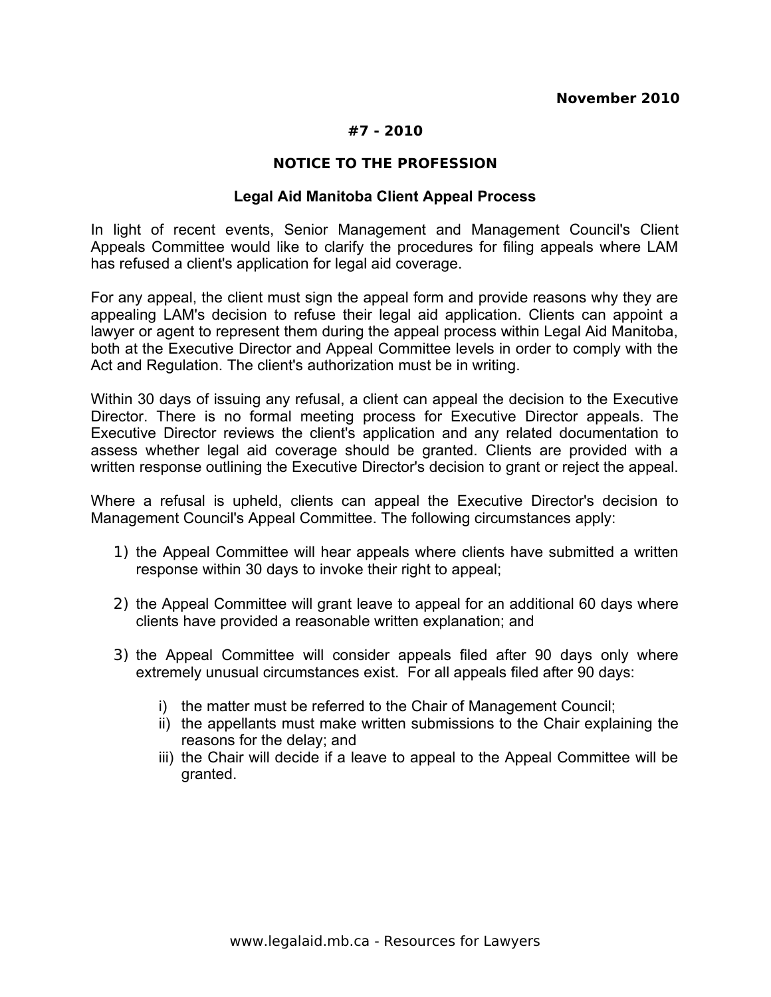# **#7 - 2010**

### **NOTICE TO THE PROFESSION**

### **Legal Aid Manitoba Client Appeal Process**

In light of recent events, Senior Management and Management Council's Client Appeals Committee would like to clarify the procedures for filing appeals where LAM has refused a client's application for legal aid coverage.

For any appeal, the client must sign the appeal form and provide reasons why they are appealing LAM's decision to refuse their legal aid application. Clients can appoint a lawyer or agent to represent them during the appeal process within Legal Aid Manitoba, both at the Executive Director and Appeal Committee levels in order to comply with the Act and Regulation. The client's authorization must be in writing.

Within 30 days of issuing any refusal, a client can appeal the decision to the Executive Director. There is no formal meeting process for Executive Director appeals. The Executive Director reviews the client's application and any related documentation to assess whether legal aid coverage should be granted. Clients are provided with a written response outlining the Executive Director's decision to grant or reject the appeal.

Where a refusal is upheld, clients can appeal the Executive Director's decision to Management Council's Appeal Committee. The following circumstances apply:

- 1) the Appeal Committee will hear appeals where clients have submitted a written response within 30 days to invoke their right to appeal;
- 2) the Appeal Committee will grant leave to appeal for an additional 60 days where clients have provided a reasonable written explanation; and
- 3) the Appeal Committee will consider appeals filed after 90 days only where extremely unusual circumstances exist. For all appeals filed after 90 days:
	- i) the matter must be referred to the Chair of Management Council;
	- ii) the appellants must make written submissions to the Chair explaining the reasons for the delay; and
	- iii) the Chair will decide if a leave to appeal to the Appeal Committee will be granted.